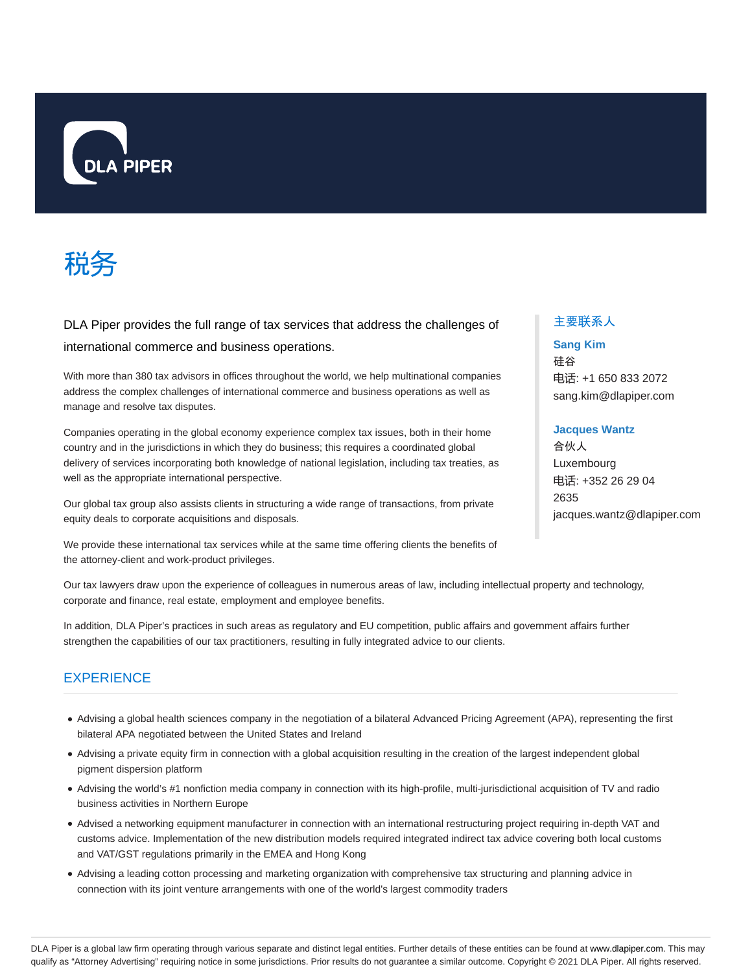



DLA Piper provides the full range of tax services that address the challenges of international commerce and business operations.

With more than 380 tax advisors in offices throughout the world, we help multinational companies address the complex challenges of international commerce and business operations as well as manage and resolve tax disputes.

Companies operating in the global economy experience complex tax issues, both in their home country and in the jurisdictions in which they do business; this requires a coordinated global delivery of services incorporating both knowledge of national legislation, including tax treaties, as well as the appropriate international perspective.

Our global tax group also assists clients in structuring a wide range of transactions, from private equity deals to corporate acquisitions and disposals.

We provide these international tax services while at the same time offering clients the benefits of the attorney-client and work-product privileges.

Our tax lawyers draw upon the experience of colleagues in numerous areas of law, including intellectual property and technology, corporate and finance, real estate, employment and employee benefits.

In addition, DLA Piper's practices in such areas as regulatory and EU competition, public affairs and government affairs further strengthen the capabilities of our tax practitioners, resulting in fully integrated advice to our clients.

## **EXPERIENCE**

- Advising a global health sciences company in the negotiation of a bilateral Advanced Pricing Agreement (APA), representing the first bilateral APA negotiated between the United States and Ireland
- Advising a private equity firm in connection with a global acquisition resulting in the creation of the largest independent global pigment dispersion platform
- Advising the world's #1 nonfiction media company in connection with its high-profile, multi-jurisdictional acquisition of TV and radio business activities in Northern Europe
- Advised a networking equipment manufacturer in connection with an international restructuring project requiring in-depth VAT and customs advice. Implementation of the new distribution models required integrated indirect tax advice covering both local customs and VAT/GST regulations primarily in the EMEA and Hong Kong
- Advising a leading cotton processing and marketing organization with comprehensive tax structuring and planning advice in connection with its joint venture arrangements with one of the world's largest commodity traders

## 主要联系人

## **Sang Kim**

硅谷 电话: +1 650 833 2072 sang.kim@dlapiper.com

## **Jacques Wantz**

合伙人 Luxembourg 电话: +352 26 29 04 2635 jacques.wantz@dlapiper.com